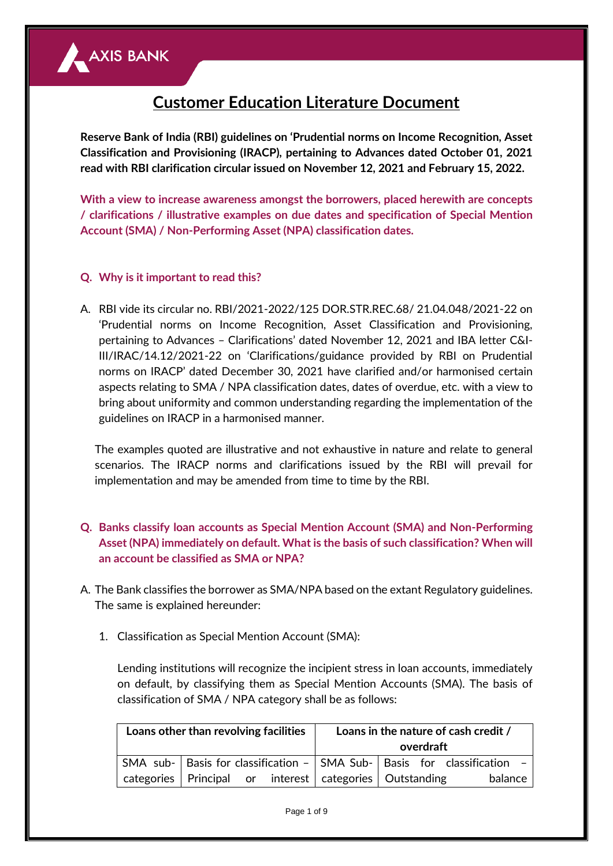

# **Customer Education Literature Document**

**Reserve Bank of India (RBI) guidelines on 'Prudential norms on Income Recognition, Asset Classification and Provisioning (IRACP), pertaining to Advances dated October 01, 2021 read with RBI clarification circular issued on November 12, 2021 and February 15, 2022.**

**With a view to increase awareness amongst the borrowers, placed herewith are concepts / clarifications / illustrative examples on due dates and specification of Special Mention Account (SMA) / Non-Performing Asset (NPA) classification dates.**

## **Q. Why is it important to read this?**

A. RBI vide its circular no. RBI/2021-2022/125 DOR.STR.REC.68/ 21.04.048/2021-22 on 'Prudential norms on Income Recognition, Asset Classification and Provisioning, pertaining to Advances – Clarifications' dated November 12, 2021 and IBA letter C&I-III/IRAC/14.12/2021-22 on 'Clarifications/guidance provided by RBI on Prudential norms on IRACP' dated December 30, 2021 have clarified and/or harmonised certain aspects relating to SMA / NPA classification dates, dates of overdue, etc. with a view to bring about uniformity and common understanding regarding the implementation of the guidelines on IRACP in a harmonised manner.

The examples quoted are illustrative and not exhaustive in nature and relate to general scenarios. The IRACP norms and clarifications issued by the RBI will prevail for implementation and may be amended from time to time by the RBI.

- **Q. Banks classify loan accounts as Special Mention Account (SMA) and Non-Performing Asset (NPA) immediately on default. What is the basis of such classification? When will an account be classified as SMA or NPA?**
- A. The Bank classifies the borrower as SMA/NPA based on the extant Regulatory guidelines. The same is explained hereunder:
	- 1. Classification as Special Mention Account (SMA):

Lending institutions will recognize the incipient stress in loan accounts, immediately on default, by classifying them as Special Mention Accounts (SMA). The basis of classification of SMA / NPA category shall be as follows:

| Loans other than revolving facilities |                                                           |  | Loans in the nature of cash credit /<br>overdraft |  |                                                                               |  |
|---------------------------------------|-----------------------------------------------------------|--|---------------------------------------------------|--|-------------------------------------------------------------------------------|--|
|                                       |                                                           |  |                                                   |  | SMA sub-   Basis for classification -   SMA Sub-   Basis for classification - |  |
|                                       | categories Principal or interest categories   Outstanding |  |                                                   |  | balance                                                                       |  |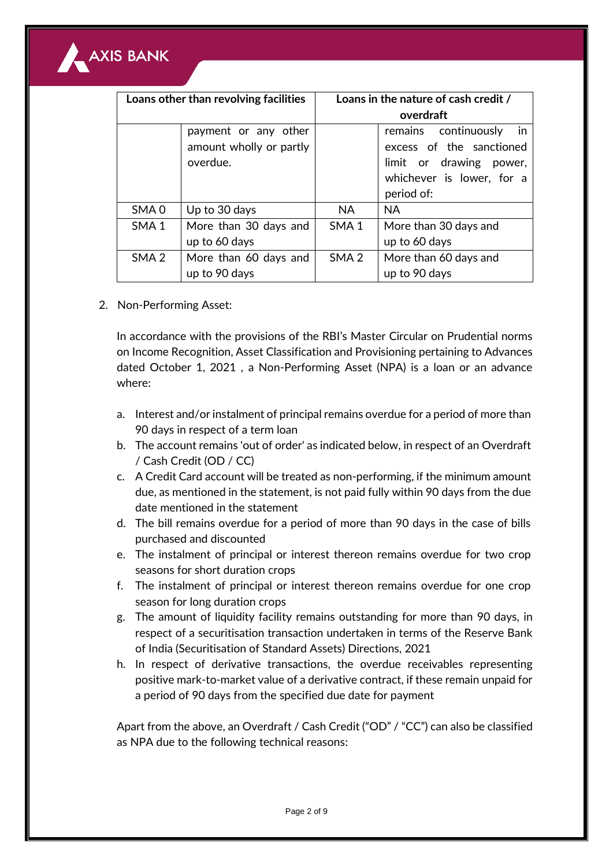

| Loans other than revolving facilities |                         | Loans in the nature of cash credit / |                            |  |
|---------------------------------------|-------------------------|--------------------------------------|----------------------------|--|
|                                       |                         | overdraft                            |                            |  |
|                                       | payment or any other    |                                      | in<br>remains continuously |  |
|                                       | amount wholly or partly |                                      | excess of the sanctioned   |  |
|                                       | overdue.                |                                      | limit or drawing power,    |  |
|                                       |                         |                                      | whichever is lower, for a  |  |
|                                       |                         |                                      | period of:                 |  |
| SMA <sub>0</sub>                      | Up to 30 days           | NA.                                  | <b>NA</b>                  |  |
| SMA <sub>1</sub>                      | More than 30 days and   | SMA <sub>1</sub>                     | More than 30 days and      |  |
|                                       | up to 60 days           |                                      | up to 60 days              |  |
| SMA <sub>2</sub>                      | More than 60 days and   | SMA 2                                | More than 60 days and      |  |
|                                       | up to 90 days           |                                      | up to 90 days              |  |

2. Non-Performing Asset:

In accordance with the provisions of the RBI's Master Circular on Prudential norms on Income Recognition, Asset Classification and Provisioning pertaining to Advances dated October 1, 2021 , a Non-Performing Asset (NPA) is a loan or an advance where:

- a. Interest and/or instalment of principal remains overdue for a period of more than 90 days in respect of a term loan
- b. The account remains 'out of order' as indicated below, in respect of an Overdraft / Cash Credit (OD / CC)
- c. A Credit Card account will be treated as non-performing, if the minimum amount due, as mentioned in the statement, is not paid fully within 90 days from the due date mentioned in the statement
- d. The bill remains overdue for a period of more than 90 days in the case of bills purchased and discounted
- e. The instalment of principal or interest thereon remains overdue for two crop seasons for short duration crops
- f. The instalment of principal or interest thereon remains overdue for one crop season for long duration crops
- g. The amount of liquidity facility remains outstanding for more than 90 days, in respect of a securitisation transaction undertaken in terms of the Reserve Bank of India (Securitisation of Standard Assets) Directions, 2021
- h. In respect of derivative transactions, the overdue receivables representing positive mark-to-market value of a derivative contract, if these remain unpaid for a period of 90 days from the specified due date for payment

Apart from the above, an Overdraft / Cash Credit ("OD" / "CC") can also be classified as NPA due to the following technical reasons: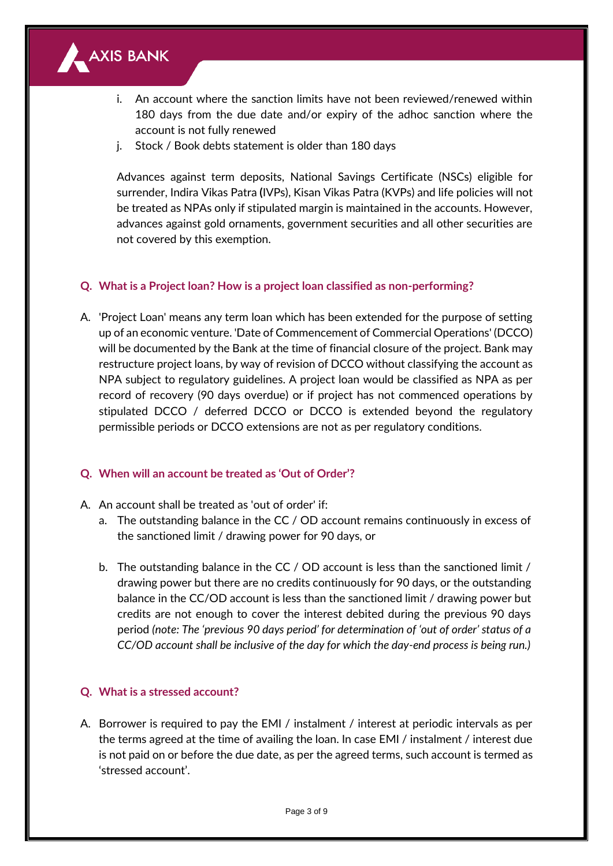

- i. An account where the sanction limits have not been reviewed/renewed within 180 days from the due date and/or expiry of the adhoc sanction where the account is not fully renewed
- j. Stock / Book debts statement is older than 180 days

Advances against term deposits, National Savings Certificate (NSCs) eligible for surrender, Indira Vikas Patra **(**IVPs), Kisan Vikas Patra (KVPs) and life policies will not be treated as NPAs only if stipulated margin is maintained in the accounts. However, advances against gold ornaments, government securities and all other securities are not covered by this exemption.

## **Q. What is a Project loan? How is a project loan classified as non-performing?**

A. 'Project Loan' means any term loan which has been extended for the purpose of setting up of an economic venture. 'Date of Commencement of Commercial Operations' (DCCO) will be documented by the Bank at the time of financial closure of the project. Bank may restructure project loans, by way of revision of DCCO without classifying the account as NPA subject to regulatory guidelines. A project loan would be classified as NPA as per record of recovery (90 days overdue) or if project has not commenced operations by stipulated DCCO / deferred DCCO or DCCO is extended beyond the regulatory permissible periods or DCCO extensions are not as per regulatory conditions.

## **Q. When will an account be treated as 'Out of Order'?**

- A. An account shall be treated as 'out of order' if:
	- a. The outstanding balance in the CC / OD account remains continuously in excess of the sanctioned limit / drawing power for 90 days, or
	- b. The outstanding balance in the CC / OD account is less than the sanctioned limit / drawing power but there are no credits continuously for 90 days, or the outstanding balance in the CC/OD account is less than the sanctioned limit / drawing power but credits are not enough to cover the interest debited during the previous 90 days period *(note: The 'previous 90 days period' for determination of 'out of order' status of a CC/OD account shall be inclusive of the day for which the day-end process is being run.)*

## **Q. What is a stressed account?**

A. Borrower is required to pay the EMI / instalment / interest at periodic intervals as per the terms agreed at the time of availing the loan. In case EMI / instalment / interest due is not paid on or before the due date, as per the agreed terms, such account is termed as 'stressed account'.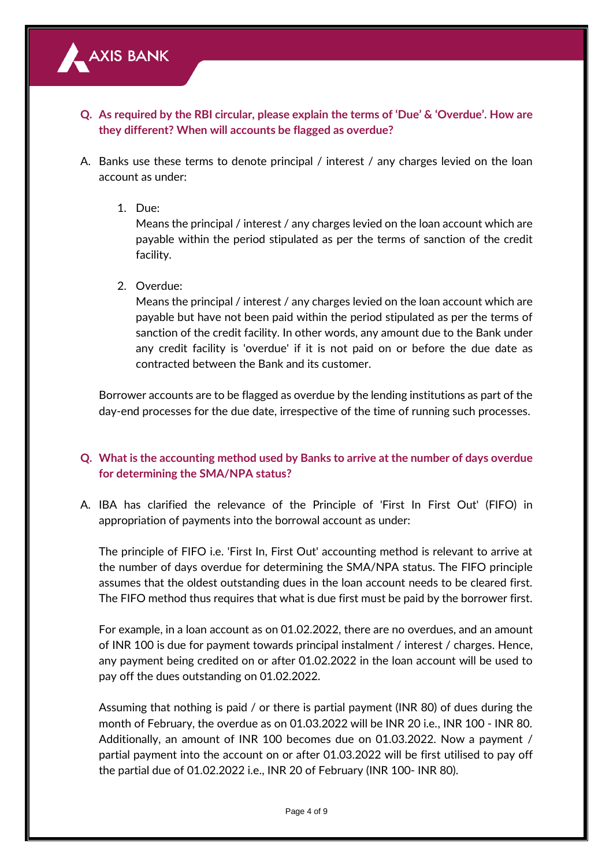

- **Q. As required by the RBI circular, please explain the terms of 'Due' & 'Overdue'. How are they different? When will accounts be flagged as overdue?**
- A. Banks use these terms to denote principal / interest / any charges levied on the loan account as under:
	- 1. Due:

Means the principal / interest / any charges levied on the loan account which are payable within the period stipulated as per the terms of sanction of the credit facility.

2. Overdue:

Means the principal / interest / any charges levied on the loan account which are payable but have not been paid within the period stipulated as per the terms of sanction of the credit facility. In other words, any amount due to the Bank under any credit facility is 'overdue' if it is not paid on or before the due date as contracted between the Bank and its customer.

Borrower accounts are to be flagged as overdue by the lending institutions as part of the day-end processes for the due date, irrespective of the time of running such processes.

# **Q. What is the accounting method used by Banks to arrive at the number of days overdue for determining the SMA/NPA status?**

A. IBA has clarified the relevance of the Principle of 'First In First Out' (FIFO) in appropriation of payments into the borrowal account as under:

The principle of FIFO i.e. 'First In, First Out' accounting method is relevant to arrive at the number of days overdue for determining the SMA/NPA status. The FIFO principle assumes that the oldest outstanding dues in the loan account needs to be cleared first. The FIFO method thus requires that what is due first must be paid by the borrower first.

For example, in a loan account as on 01.02.2022, there are no overdues, and an amount of INR 100 is due for payment towards principal instalment / interest / charges. Hence, any payment being credited on or after 01.02.2022 in the loan account will be used to pay off the dues outstanding on 01.02.2022.

Assuming that nothing is paid / or there is partial payment (INR 80) of dues during the month of February, the overdue as on 01.03.2022 will be INR 20 i.e., INR 100 - INR 80. Additionally, an amount of INR 100 becomes due on 01.03.2022. Now a payment / partial payment into the account on or after 01.03.2022 will be first utilised to pay off the partial due of 01.02.2022 i.e., INR 20 of February (INR 100- INR 80).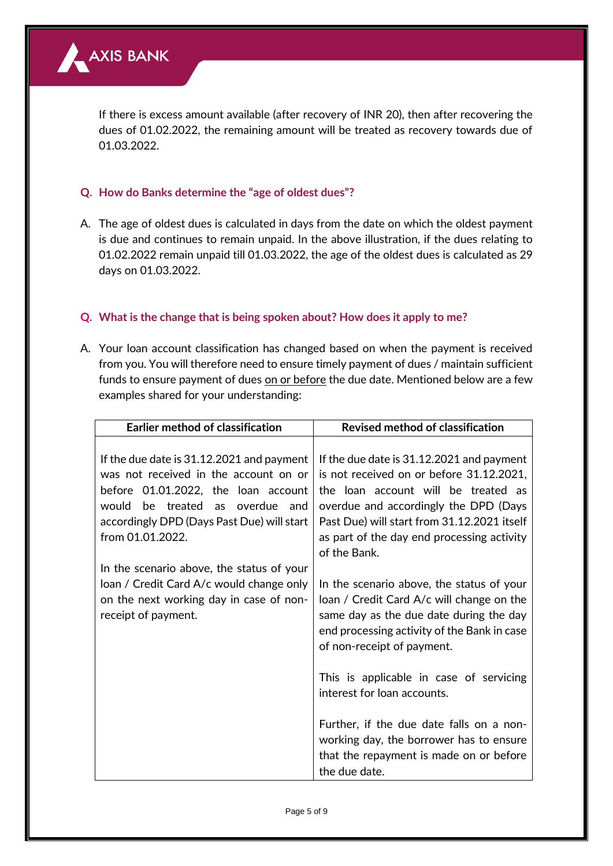

If there is excess amount available (after recovery of INR 20), then after recovering the dues of 01.02.2022, the remaining amount will be treated as recovery towards due of 01.03.2022.

## **Q. How do Banks determine the "age of oldest dues"?**

A. The age of oldest dues is calculated in days from the date on which the oldest payment is due and continues to remain unpaid. In the above illustration, if the dues relating to 01.02.2022 remain unpaid till 01.03.2022, the age of the oldest dues is calculated as 29 days on 01.03.2022.

## **Q. What is the change that is being spoken about? How does it apply to me?**

A. Your loan account classification has changed based on when the payment is received from you. You will therefore need to ensure timely payment of dues / maintain sufficient funds to ensure payment of dues on or before the due date. Mentioned below are a few examples shared for your understanding:

| <b>Earlier method of classification</b>                                                                                                                      | <b>Revised method of classification</b>                                                                                                                                                                        |  |  |
|--------------------------------------------------------------------------------------------------------------------------------------------------------------|----------------------------------------------------------------------------------------------------------------------------------------------------------------------------------------------------------------|--|--|
| If the due date is 31.12.2021 and payment<br>was not received in the account on or<br>before 01.01.2022, the loan account<br>would be treated as overdue and | If the due date is 31.12.2021 and payment<br>is not received on or before 31.12.2021,<br>the loan account will be treated as<br>overdue and accordingly the DPD (Days                                          |  |  |
| accordingly DPD (Days Past Due) will start<br>from 01.01.2022.                                                                                               | Past Due) will start from 31.12.2021 itself<br>as part of the day end processing activity<br>of the Bank.                                                                                                      |  |  |
| In the scenario above, the status of your<br>loan / Credit Card A/c would change only<br>on the next working day in case of non-<br>receipt of payment.      | In the scenario above, the status of your<br>loan / Credit Card A/c will change on the<br>same day as the due date during the day<br>end processing activity of the Bank in case<br>of non-receipt of payment. |  |  |
|                                                                                                                                                              | This is applicable in case of servicing<br>interest for loan accounts.                                                                                                                                         |  |  |
|                                                                                                                                                              | Further, if the due date falls on a non-<br>working day, the borrower has to ensure<br>that the repayment is made on or before<br>the due date.                                                                |  |  |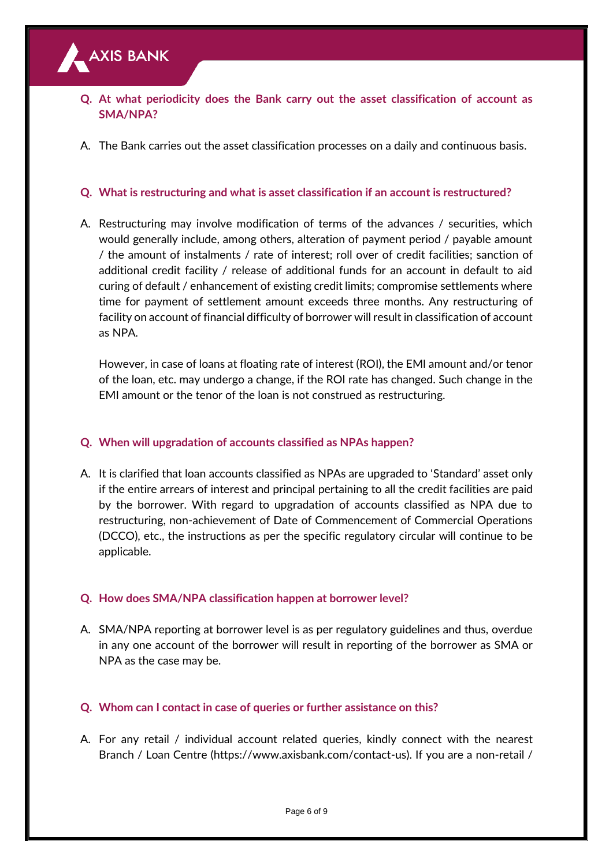## **Q. At what periodicity does the Bank carry out the asset classification of account as SMA/NPA?**

A. The Bank carries out the asset classification processes on a daily and continuous basis.

## **Q. What is restructuring and what is asset classification if an account is restructured?**

A. Restructuring may involve modification of terms of the advances / securities, which would generally include, among others, alteration of payment period / payable amount / the amount of instalments / rate of interest; roll over of credit facilities; sanction of additional credit facility / release of additional funds for an account in default to aid curing of default / enhancement of existing credit limits; compromise settlements where time for payment of settlement amount exceeds three months. Any restructuring of facility on account of financial difficulty of borrower will result in classification of account as NPA.

However, in case of loans at floating rate of interest (ROI), the EMI amount and/or tenor of the loan, etc. may undergo a change, if the ROI rate has changed. Such change in the EMI amount or the tenor of the loan is not construed as restructuring.

## **Q. When will upgradation of accounts classified as NPAs happen?**

A. It is clarified that loan accounts classified as NPAs are upgraded to 'Standard' asset only if the entire arrears of interest and principal pertaining to all the credit facilities are paid by the borrower. With regard to upgradation of accounts classified as NPA due to restructuring, non-achievement of Date of Commencement of Commercial Operations (DCCO), etc., the instructions as per the specific regulatory circular will continue to be applicable.

## **Q. How does SMA/NPA classification happen at borrower level?**

A. SMA/NPA reporting at borrower level is as per regulatory guidelines and thus, overdue in any one account of the borrower will result in reporting of the borrower as SMA or NPA as the case may be.

## **Q. Whom can I contact in case of queries or further assistance on this?**

A. For any retail / individual account related queries, kindly connect with the nearest Branch / Loan Centre (https://www.axisbank.com/contact-us). If you are a non-retail /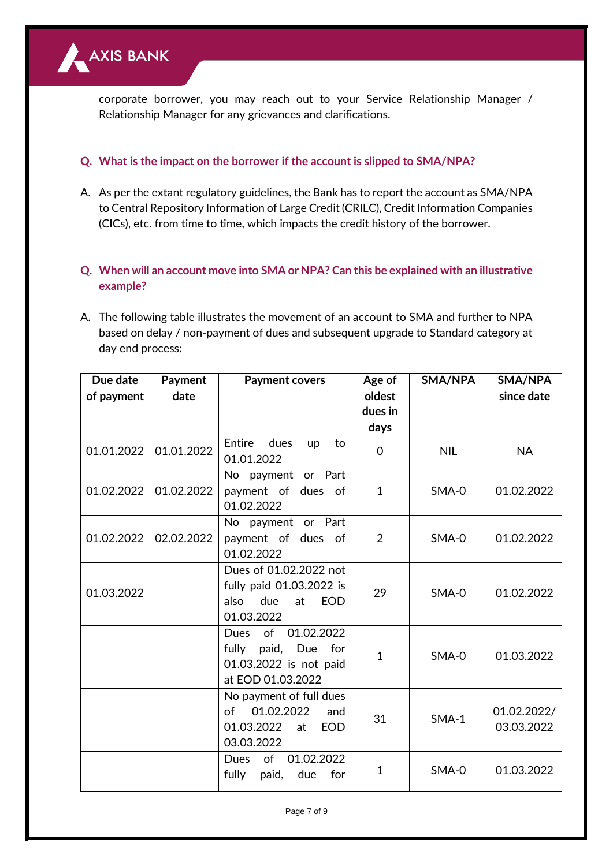

corporate borrower, you may reach out to your Service Relationship Manager / Relationship Manager for any grievances and clarifications.

## **Q. What is the impact on the borrower if the account is slipped to SMA/NPA?**

A. As per the extant regulatory guidelines, the Bank has to report the account as SMA/NPA to Central Repository Information of Large Credit (CRILC), Credit Information Companies (CICs), etc. from time to time, which impacts the credit history of the borrower.

# **Q. When will an account move into SMA or NPA? Can this be explained with an illustrative example?**

A. The following table illustrates the movement of an account to SMA and further to NPA based on delay / non-payment of dues and subsequent upgrade to Standard category at day end process:

| Due date   | Payment    | <b>Payment covers</b>                                                                                    | Age of       | SMA/NPA    | SMA/NPA                   |
|------------|------------|----------------------------------------------------------------------------------------------------------|--------------|------------|---------------------------|
| of payment | date       |                                                                                                          | oldest       |            | since date                |
|            |            |                                                                                                          | dues in      |            |                           |
|            |            |                                                                                                          | days         |            |                           |
| 01.01.2022 | 01.01.2022 | Entire<br>dues<br>to<br>up<br>01.01.2022                                                                 | $\mathbf 0$  | <b>NIL</b> | <b>NA</b>                 |
| 01.02.2022 | 01.02.2022 | No payment or Part<br>payment of dues of<br>01.02.2022                                                   | $\mathbf{1}$ | SMA-0      | 01.02.2022                |
| 01.02.2022 | 02.02.2022 | No payment or Part<br>payment of dues of<br>01.02.2022                                                   | 2            | SMA-0      | 01.02.2022                |
| 01.03.2022 |            | Dues of 01.02.2022 not<br>fully paid 01.03.2022 is<br>due<br>at<br><b>EOD</b><br>also<br>01.03.2022      | 29           | SMA-0      | 01.02.2022                |
|            |            | of<br><b>Dues</b><br>01.02.2022<br>fully paid, Due<br>for<br>01.03.2022 is not paid<br>at EOD 01.03.2022 | $\mathbf{1}$ | SMA-0      | 01.03.2022                |
|            |            | No payment of full dues<br>01.02.2022<br>Ωf<br>and<br>01.03.2022<br>at<br><b>EOD</b><br>03.03.2022       | 31           | $SMA-1$    | 01.02.2022/<br>03.03.2022 |
|            |            | of<br>01.02.2022<br>Dues<br>fully<br>paid,<br>due<br>for                                                 | $\mathbf{1}$ | SMA-0      | 01.03.2022                |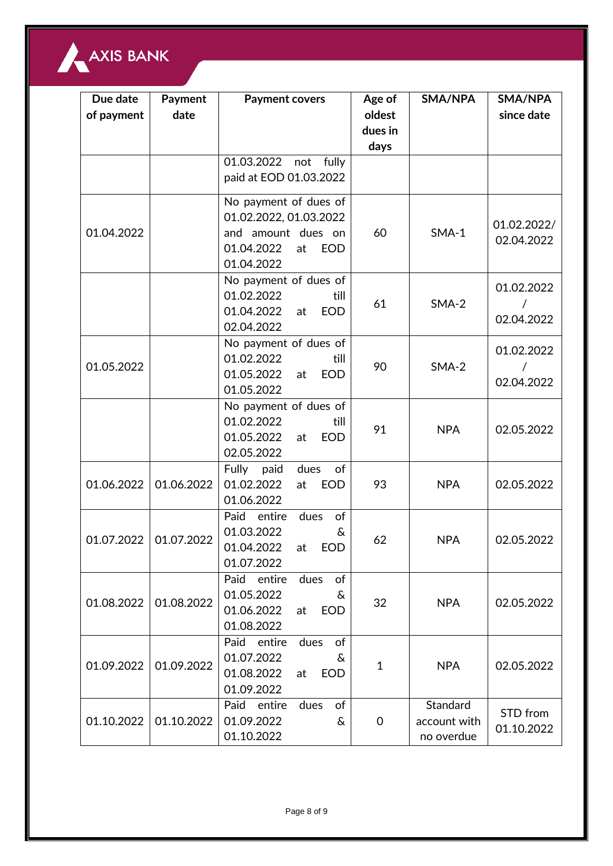

| Due date<br>of payment | Payment<br>date | <b>Payment covers</b>                                                                                                 | Age of<br>oldest | SMA/NPA                                | SMA/NPA<br>since date     |
|------------------------|-----------------|-----------------------------------------------------------------------------------------------------------------------|------------------|----------------------------------------|---------------------------|
|                        |                 |                                                                                                                       | dues in<br>days  |                                        |                           |
|                        |                 | 01.03.2022 not fully<br>paid at EOD 01.03.2022                                                                        |                  |                                        |                           |
| 01.04.2022             |                 | No payment of dues of<br>01.02.2022, 01.03.2022<br>and amount dues on<br>01.04.2022<br>at<br><b>EOD</b><br>01.04.2022 | 60               | $SMA-1$                                | 01.02.2022/<br>02.04.2022 |
|                        |                 | No payment of dues of<br>01.02.2022<br>till<br>01.04.2022<br><b>EOD</b><br>at<br>02.04.2022                           | 61               | $SMA-2$                                | 01.02.2022<br>02.04.2022  |
| 01.05.2022             |                 | No payment of dues of<br>01.02.2022<br>till<br>01.05.2022<br><b>EOD</b><br>at<br>01.05.2022                           | 90               | $SMA-2$                                | 01.02.2022<br>02.04.2022  |
|                        |                 | No payment of dues of<br>01.02.2022<br>till<br>01.05.2022<br>at<br><b>EOD</b><br>02.05.2022                           | 91               | <b>NPA</b>                             | 02.05.2022                |
| 01.06.2022             | 01.06.2022      | Fully paid<br>dues<br>of<br>01.02.2022<br><b>EOD</b><br>at<br>01.06.2022                                              | 93               | <b>NPA</b>                             | 02.05.2022                |
| 01.07.2022             | 01.07.2022      | dues<br>of<br>Paid<br>entire<br>01.03.2022<br>&<br>01.04.2022<br>EOD<br>at<br>01.07.2022                              | 62               | <b>NPA</b>                             | 02.05.2022                |
| 01.08.2022             | 01.08.2022      | of<br>Paid<br>entire<br>dues<br>01.05.2022<br>&<br>01.06.2022<br><b>EOD</b><br>at<br>01.08.2022                       | 32               | <b>NPA</b>                             | 02.05.2022                |
| 01.09.2022             | 01.09.2022      | of<br>Paid entire<br>dues<br>01.07.2022<br>&<br>01.08.2022<br><b>EOD</b><br>at<br>01.09.2022                          | 1                | <b>NPA</b>                             | 02.05.2022                |
| 01.10.2022             | 01.10.2022      | Paid<br>entire<br>of<br>dues<br>01.09.2022<br>&<br>01.10.2022                                                         | 0                | Standard<br>account with<br>no overdue | STD from<br>01.10.2022    |